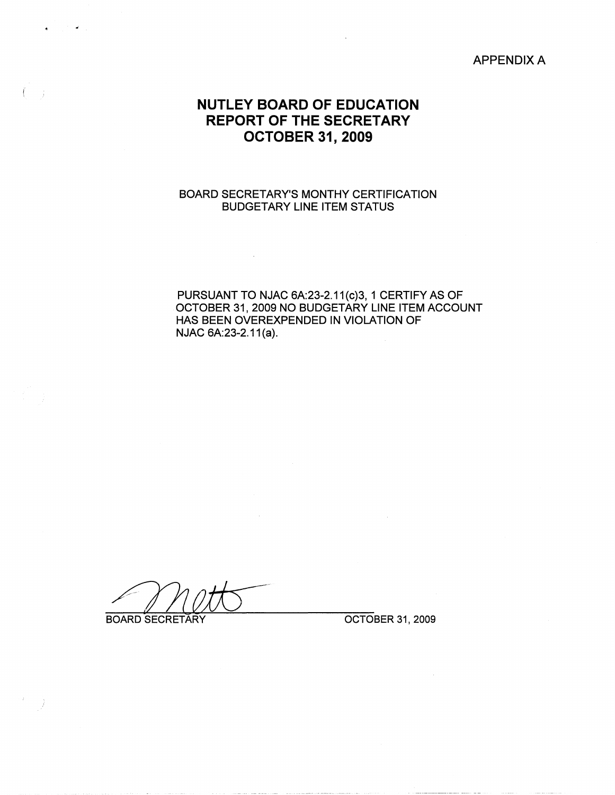APPENDIX A

## **NUTLEY BOARD OF EDUCATION REPORT OF THE SECRETARY OCTOBER 31, 2009**

### BOARD SECRETARY'S MONTHY CERTIFICATION BUDGETARY LINE ITEM STATUS

 $\mathcal{L}^{\text{max}}_{\text{max}}$  and  $\mathcal{L}^{\text{max}}_{\text{max}}$ 

PURSUANT TO NJAC 6A:23-2.11(c)3, 1 CERTIFY AS OF OCTOBER 31, 2009 NO BUDGETÀRY LINE ITEM ACCOUNT HAS BEEN OVEREXPENDED IN VIOLATION OF NJAC 6A:23-2.11(a).

BOARD SECRETARY **OCTOBER 31, 2009** 

 $\sim 10^{-1}$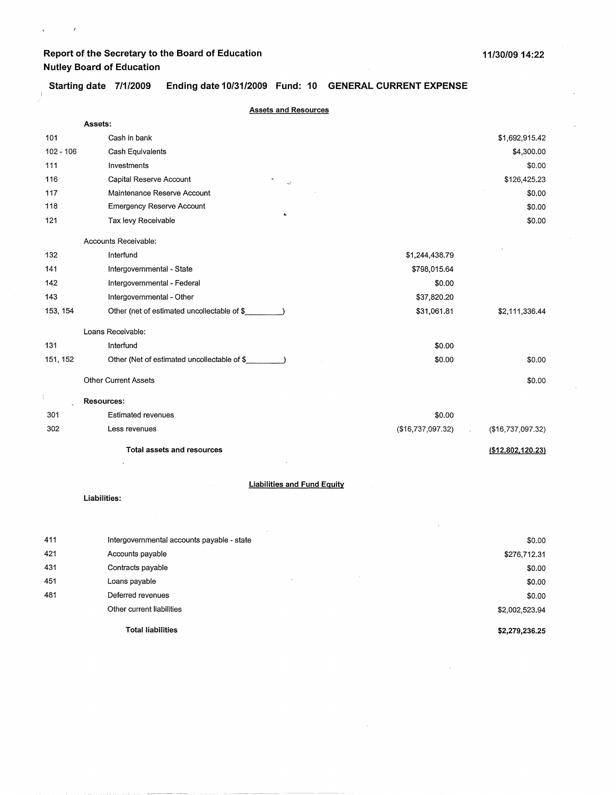$\mathbf{r}^{(i)}$  and  $\mathbf{r}^{(i)}$ 

**Starting date 7/1/2009 Ending date 10/31/2009 Fund: 10 GENERAL CURRENT EXPENSE** 

|             | <b>Assets and Resources</b>                        |                   |                    |
|-------------|----------------------------------------------------|-------------------|--------------------|
|             | Assets:                                            |                   |                    |
| 101         | Cash in bank                                       |                   | \$1,692,915.42     |
| $102 - 106$ | Cash Equivalents                                   |                   | \$4,300.00         |
| 111         | Investments                                        |                   | \$0.00             |
| 116         | Capital Reserve Account<br>k.                      |                   | \$126,425.23       |
| 117         | Maintenance Reserve Account                        |                   | \$0.00             |
| 118         | <b>Emergency Reserve Account</b>                   |                   | \$0.00             |
| 121         | Tax levy Receivable                                |                   | \$0.00             |
|             | Accounts Receivable:                               |                   |                    |
| 132         | Interfund                                          | \$1,244,438.79    |                    |
| 141         | Intergovernmental - State                          | \$798,015.64      |                    |
| 142         | Intergovernmental - Federal                        | \$0.00            |                    |
| 143         | Intergovernmental - Other                          | \$37,820.20       |                    |
| 153, 154    | Other (net of estimated uncollectable of \$        | \$31,061.81       | \$2,111,336.44     |
|             | Loans Receivable:                                  |                   |                    |
| 131         | Interfund                                          | \$0.00            |                    |
| 151, 152    | Other (Net of estimated uncollectable of \$        | \$0.00            | \$0.00             |
|             | <b>Other Current Assets</b>                        |                   | \$0.00             |
|             | <b>Resources:</b>                                  |                   |                    |
| 301         | <b>Estimated revenues</b>                          | \$0.00            |                    |
| 302         | Less revenues                                      | (\$16,737,097.32) | (\$16,737,097.32)  |
|             | Total assets and resources                         |                   | ( \$12,802,120.23) |
|             |                                                    |                   |                    |
|             | <b>Liabilities and Fund Equity</b><br>Liabilities: |                   |                    |
|             |                                                    |                   |                    |
|             |                                                    |                   |                    |
| 411         | Intergovernmental accounts payable - state         |                   | \$0.00             |
| 421         | Accounts payable                                   |                   | \$276,712.31       |
| 431         | Contracts payable                                  |                   | \$0.00             |
| 451         | Loans payable                                      |                   | \$0.00             |
| 481         | Deferred revenues                                  |                   | \$0.00             |
|             | Other current liabilities                          |                   | \$2,002,523.94     |

**Total liabilities** 

**\$2,279,236.25** 

 $\sim$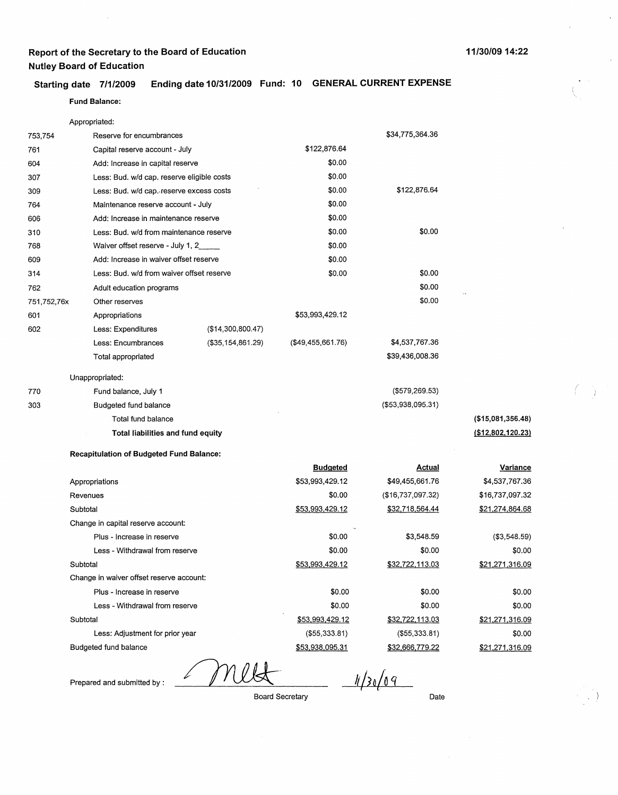### **Starting date 7/1/2009 Ending date 10/31/2009 Fund: 10 GENERAL CURRENT EXPENSE**

### **Fund Balance:**

|             | Appropriated:                                   |                                            |                   |                      |                      |
|-------------|-------------------------------------------------|--------------------------------------------|-------------------|----------------------|----------------------|
| 753,754     | Reserve for encumbrances                        |                                            |                   | \$34,775,364.36      |                      |
| 761         | Capital reserve account - July                  |                                            | \$122,876.64      |                      |                      |
| 604         |                                                 | Add: Increase in capital reserve           |                   |                      |                      |
| 307         |                                                 | Less: Bud. w/d cap. reserve eligible costs |                   |                      |                      |
| 309         | Less: Bud. w/d cap. reserve excess costs        |                                            | \$0.00            | \$122,876.64         |                      |
| 764         | Maintenance reserve account - July              |                                            | \$0.00            |                      |                      |
| 606         | Add: Increase in maintenance reserve            |                                            | \$0.00            |                      |                      |
| 310         | Less: Bud. w/d from maintenance reserve         |                                            | \$0.00            | \$0.00               |                      |
| 768         | Waiver offset reserve - July 1, 2               |                                            | \$0.00            |                      |                      |
| 609         | Add: Increase in waiver offset reserve          |                                            | \$0.00            |                      |                      |
| 314         | Less: Bud. w/d from waiver offset reserve       |                                            | \$0.00            | \$0.00               |                      |
| 762         | Adult education programs                        |                                            |                   | \$0.00               |                      |
| 751,752,76x | Other reserves                                  |                                            |                   | \$0.00               |                      |
| 601         | Appropriations                                  |                                            | \$53,993,429.12   |                      |                      |
| 602         | Less: Expenditures                              | (\$14,300,800.47)                          |                   |                      |                      |
|             | Less: Encumbrances                              | (\$35,154,861.29)                          | (\$49,455,661.76) | \$4,537,767.36       |                      |
|             | Total appropriated                              |                                            |                   | \$39,436,008.36      |                      |
|             | Unappropriated:                                 |                                            |                   |                      |                      |
| 770         | Fund balance, July 1                            |                                            |                   | $($ \$579,269.53 $)$ |                      |
| 303         | Budgeted fund balance                           |                                            |                   | (\$53,938,095.31)    |                      |
|             | Total fund balance                              |                                            |                   |                      | ( \$15,081,356.48)   |
|             | Total liabilities and fund equity               |                                            |                   |                      | ( \$12, 802, 120.23) |
|             | <b>Recapitulation of Budgeted Fund Balance:</b> |                                            |                   |                      |                      |
|             |                                                 |                                            | <b>Budgeted</b>   | <u>Actual</u>        | Variance             |
|             | Appropriations                                  |                                            | \$53,993,429.12   | \$49,455,661.76      | \$4,537,767.36       |
|             | Revenues                                        |                                            | \$0.00            | (\$16,737,097.32)    | \$16,737,097.32      |
|             | Subtotal                                        |                                            | \$53,993,429.12   | \$32,718,564.44      | \$21,274,864.68      |
|             | Change in capital reserve account:              |                                            |                   |                      |                      |
|             | Plus - Increase in reserve                      |                                            | \$0.00            | \$3,548.59           | (\$3,548.59)         |
|             | Less - Withdrawal from reserve                  |                                            | \$0.00            | \$0.00               | \$0.00               |
|             | Subtotal                                        |                                            | \$53,993,429.12   | \$32,722,113.03      | \$21,271,316.09      |
|             | Change in waiver offset reserve account:        |                                            |                   |                      |                      |
|             | Plus - Increase in reserve                      |                                            | \$0.00            | \$0.00               | \$0.00               |
|             | Less - Withdrawal from reserve                  |                                            | \$0.00            | \$0.00               | \$0.00               |
|             | Subtotal                                        |                                            | \$53,993,429.12   | \$32,722,113.03      | \$21,271,316.09      |
|             | Less: Adjustment for prior year                 |                                            | (\$55,333.81)     | (\$55,333.81)        | \$0.00               |

Budgeted fund balance

Prepared and submitted by : /////

 $1/30/09$ 

Board Secretary

\$53,938,095.31

Date

\$32,666. 779.22

*(* Ì.

\$21.271.316.09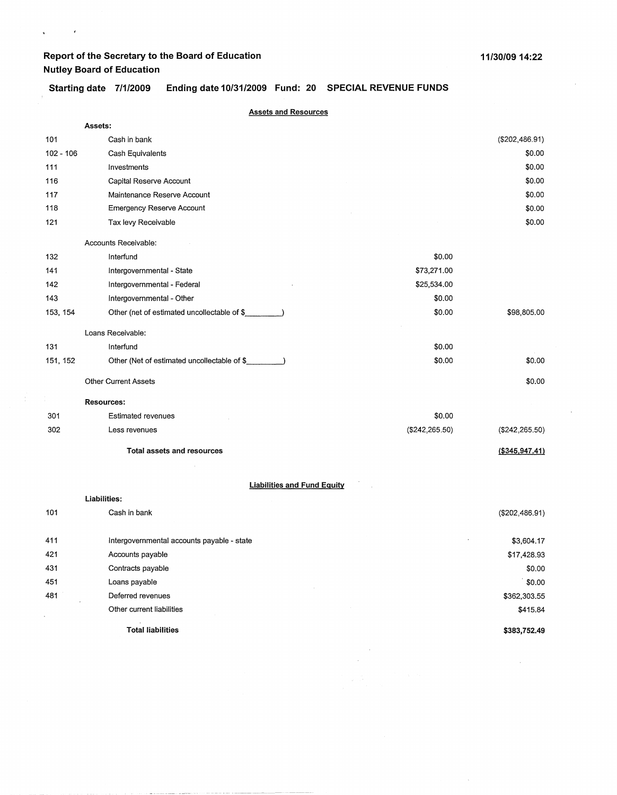$\mathbf{q}^{\left(1\right)}$  and  $\mathbf{q}^{\left(2\right)}$ 

 $\sim$ 

 $\mathcal{N}$ 

### **Starting date 7/1/2009 Ending date 10/31/2009 Fund: 20 SPECIAL REVENUE FUNDS**

|           | <b>Assets and Resources</b>                        |                |                 |
|-----------|----------------------------------------------------|----------------|-----------------|
|           | Assets:                                            |                |                 |
| 101       | Cash in bank                                       |                | (\$202,486.91)  |
| 102 - 106 | Cash Equivalents                                   |                | \$0.00          |
| 111       | Investments                                        |                | \$0.00          |
| 116       | Capital Reserve Account                            |                | \$0.00          |
| 117       | Maintenance Reserve Account                        |                | \$0.00          |
| 118       | <b>Emergency Reserve Account</b>                   |                | \$0.00          |
| 121       | Tax levy Receivable                                |                | \$0.00          |
|           | Accounts Receivable:                               |                |                 |
| 132       | Interfund                                          | \$0.00         |                 |
| 141       | Intergovernmental - State                          | \$73,271.00    |                 |
| 142       | Intergovernmental - Federal                        | \$25,534.00    |                 |
| 143       | Intergovernmental - Other                          | \$0.00         |                 |
| 153, 154  | Other (net of estimated uncollectable of \$        | \$0.00         | \$98,805.00     |
|           | Loans Receivable:                                  |                |                 |
| 131       | Interfund                                          | \$0.00         |                 |
| 151, 152  | Other (Net of estimated uncollectable of \$        | \$0.00         | \$0.00          |
|           | <b>Other Current Assets</b>                        |                | \$0.00          |
|           | <b>Resources:</b>                                  |                |                 |
| 301       | <b>Estimated revenues</b>                          | \$0.00         |                 |
| 302       | Less revenues                                      | (\$242,265.50) | (\$242, 265.50) |
|           | <b>Total assets and resources</b>                  |                | (\$345,947.41)  |
|           |                                                    |                |                 |
|           | <b>Liabilities and Fund Equity</b><br>Liabilities: |                |                 |
| 101       | Cash in bank                                       |                | (\$202,486.91)  |
| 411       | Intergovernmental accounts payable - state         |                | \$3,604.17      |
| 421       | Accounts payable                                   |                | \$17,428.93     |
| 431       | Contracts payable                                  |                | \$0.00          |
| 451       | Loans payable                                      |                | \$0.00          |
| 481       | Deferred revenues                                  |                | \$362,303.55    |
|           | Other current liabilities                          |                | \$415.84        |
|           | <b>Total liabilities</b>                           |                | \$383,752.49    |

 $\sim$  $\hat{\mathcal{A}}$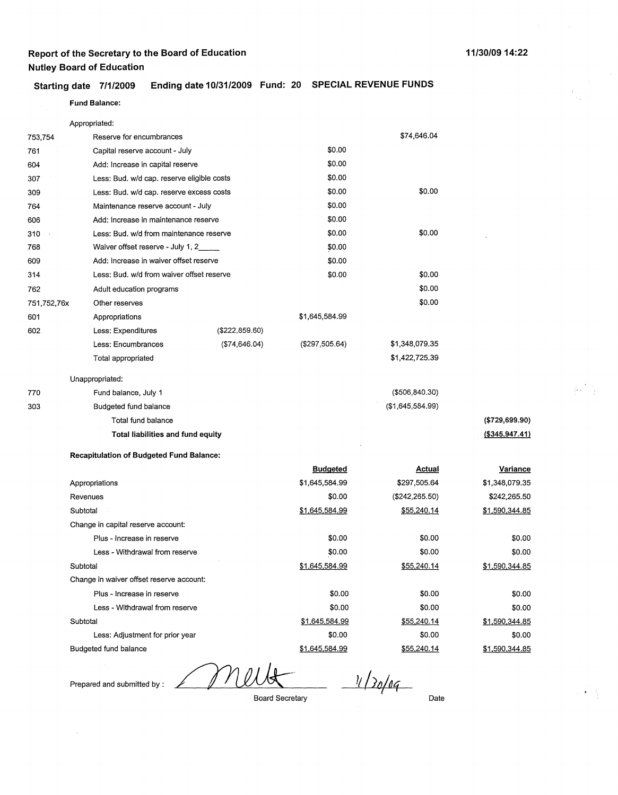#### **Starting date 7/1/2009 Ending date 10/31/2009 Fund: 20 SPECIAL REVENUE FUNDS**

|             | Appropriated:                              |                 |                 |                  |                  |
|-------------|--------------------------------------------|-----------------|-----------------|------------------|------------------|
| 753,754     | Reserve for encumbrances                   |                 |                 | \$74,646.04      |                  |
| 761         | Capital reserve account - July             |                 | \$0.00          |                  |                  |
| 604         | Add: Increase in capital reserve           |                 | \$0.00          |                  |                  |
| 307         | Less: Bud. w/d cap. reserve eligible costs |                 | \$0.00          |                  |                  |
| 309         | Less: Bud. w/d cap. reserve excess costs   |                 | \$0.00          | \$0.00           |                  |
| 764         | Maintenance reserve account - July         |                 | \$0.00          |                  |                  |
| 606         | Add: Increase in maintenance reserve       |                 | \$0.00          |                  |                  |
| 310         | Less: Bud. w/d from maintenance reserve    |                 | \$0.00          | \$0.00           |                  |
| 768         | Waiver offset reserve - July 1, 2____      |                 | \$0.00          |                  |                  |
| 609         | Add: Increase in waiver offset reserve     |                 | \$0.00          |                  |                  |
| 314         | Less: Bud. w/d from waiver offset reserve  |                 | \$0.00          | \$0.00           |                  |
| 762         | Adult education programs                   |                 |                 | \$0.00           |                  |
| 751,752,76x | Other reserves                             |                 |                 | \$0.00           |                  |
| 601         | Appropriations                             |                 | \$1,645,584.99  |                  |                  |
| 602         | Less: Expenditures                         | (\$222,859.60)  |                 |                  |                  |
|             | Less: Encumbrances                         | ( \$74, 646.04) | (\$297,505.64)  | \$1,348,079.35   |                  |
|             | Total appropriated                         |                 |                 | \$1,422,725.39   |                  |
|             | Unappropriated:                            |                 |                 |                  |                  |
| 770         | Fund balance, July 1                       |                 |                 | ( \$506, 840.30) |                  |
| 303         | Budgeted fund balance                      |                 |                 | (\$1,645,584.99) |                  |
|             | Total fund balance                         |                 |                 |                  | (\$729,699.90)   |
|             | Total liabilities and fund equity          |                 |                 |                  | ( \$345, 947.41) |
|             | Recapitulation of Budgeted Fund Balance:   |                 |                 |                  |                  |
|             |                                            |                 | <b>Budgeted</b> | <b>Actual</b>    | Variance         |
|             | Appropriations                             |                 | \$1,645,584.99  | \$297,505.64     | \$1,348,079.35   |
|             | Revenues                                   |                 | \$0.00          | (\$242, 265.50)  | \$242,265.50     |
|             | Subtotal                                   |                 | \$1,645,584.99  | \$55,240.14      | \$1,590,344.85   |

Budgeted fund balance

Subtotal

Subtotal

Change in capital reserve account: Plus - Increase in reserve Less - Withdrawal from reserve

Change in waiver offset reserve account: Plus - Increase in reserve Less - Withdrawal from reserve

Less: Adjustment for prior year

Prepared and submitted by :

 $11/30/04$ 

\$0.00 \$0.00

\$0.00 \$0.00 \$1,645,584.99 \$0.00 \$1,645,584.99

\$1,645,584.99

Board Secretary

Date

\$0.00 \$0.00 \$55,240.14

\$0.00 \$0.00 \$55,240.14 \$0.00 \$55,240.14

\$0.00 \$0.00

\$0.00 \$0.00

\$0.00

\$1,590,344.85

\$1,590,344.85

\$1,590,344.85

#### **11/30/0914:22**

**Fund Balance:**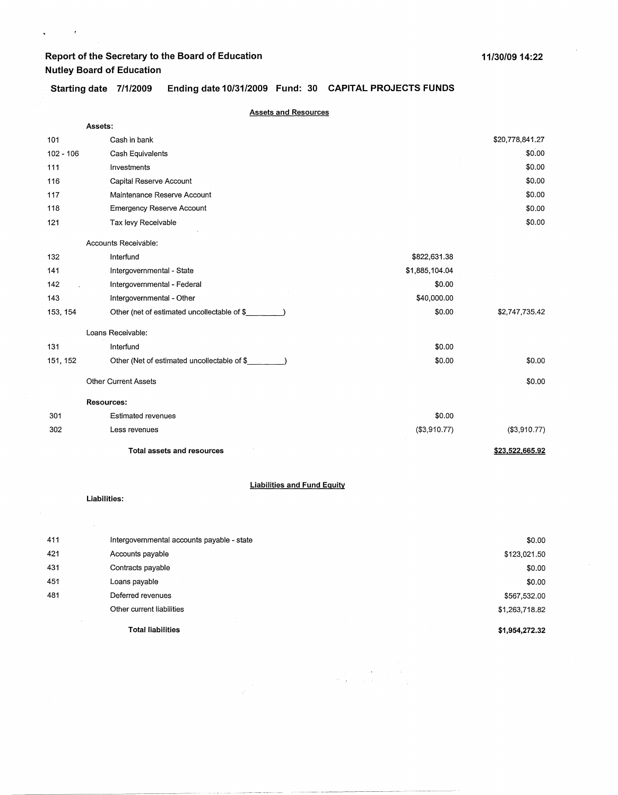$\sqrt{\frac{1}{2}}$  and  $\sqrt{\frac{1}{2}}$ 

### **Starting date 7/1/2009 Ending date 10/31/2009 Fund: 30 CAPITAL PROJECTS FUNDS**

|             | <b>Assets and Resources</b>                 |                          |
|-------------|---------------------------------------------|--------------------------|
|             | Assets:                                     |                          |
| 101         | Cash in bank                                | \$20,778,841.27          |
| $102 - 106$ | Cash Equivalents                            | \$0.00                   |
| 111         | Investments                                 | \$0.00                   |
| 116         | Capital Reserve Account                     | \$0.00                   |
| 117         | Maintenance Reserve Account                 | \$0.00                   |
| 118         | <b>Emergency Reserve Account</b>            | \$0.00                   |
| 121         | Tax levy Receivable                         | \$0.00                   |
|             | Accounts Receivable:                        |                          |
| 132         | Interfund<br>\$822,631.38                   |                          |
| 141         | Intergovernmental - State<br>\$1,885,104.04 |                          |
| 142         | Intergovernmental - Federal                 | \$0.00                   |
| 143         | \$40,000.00<br>Intergovernmental - Other    |                          |
| 153, 154    | Other (net of estimated uncollectable of \$ | \$0.00<br>\$2,747,735.42 |
|             | Loans Receivable:                           |                          |
| 131         | Interfund                                   | \$0.00                   |
| 151, 152    | Other (Net of estimated uncollectable of \$ | \$0.00<br>\$0.00         |
|             | <b>Other Current Assets</b>                 | \$0.00                   |
|             | <b>Resources:</b>                           |                          |
| 301         | <b>Estimated revenues</b>                   | \$0.00                   |
| 302         | (\$3,910.77)<br>Less revenues               | (\$3,910.77)             |
|             | <b>Total assets and resources</b>           | \$23,522,665.92          |
|             | <b>Liabilities and Fund Equity</b>          |                          |
|             | Liabilities:                                |                          |
|             |                                             |                          |
| 411         | Intergovernmental accounts payable - state  | \$0.00                   |

|     | <b>Total liabilities</b>               | \$1,954,272.32                                                                                    |
|-----|----------------------------------------|---------------------------------------------------------------------------------------------------|
|     | Other current liabilities              | \$1,263,718.82                                                                                    |
| 481 | Deferred revenues                      | \$567,532.00                                                                                      |
| 451 | Loans payable                          | \$0.00                                                                                            |
| 431 | Contracts payable                      | \$0.00                                                                                            |
| 421 | Accounts payable                       | \$123,021.50                                                                                      |
| .   | morgovornmontal accounts payable clate | $\bullet\hspace{-1.7mm}\bullet\hspace{-1.7mm}\bullet\hspace{-1.7mm}\bullet\hspace{-1.7mm}\bullet$ |

 $\label{eq:2.1} \frac{1}{2\pi}\sum_{i=1}^N\frac{1}{2\pi\sqrt{2\pi}}\int_{0}^{\pi}d\tau\int_{0}^{\pi}d\tau\int_{0}^{\pi}d\tau\int_{0}^{\pi}d\tau\int_{0}^{\pi}d\tau\int_{0}^{\pi}d\tau\int_{0}^{\pi}d\tau\int_{0}^{\pi}d\tau\int_{0}^{\pi}d\tau\int_{0}^{\pi}d\tau\int_{0}^{\pi}d\tau\int_{0}^{\pi}d\tau\int_{0}^{\pi}d\tau\int_{0}^{\pi}d\tau\int_{0}^{\pi}d\$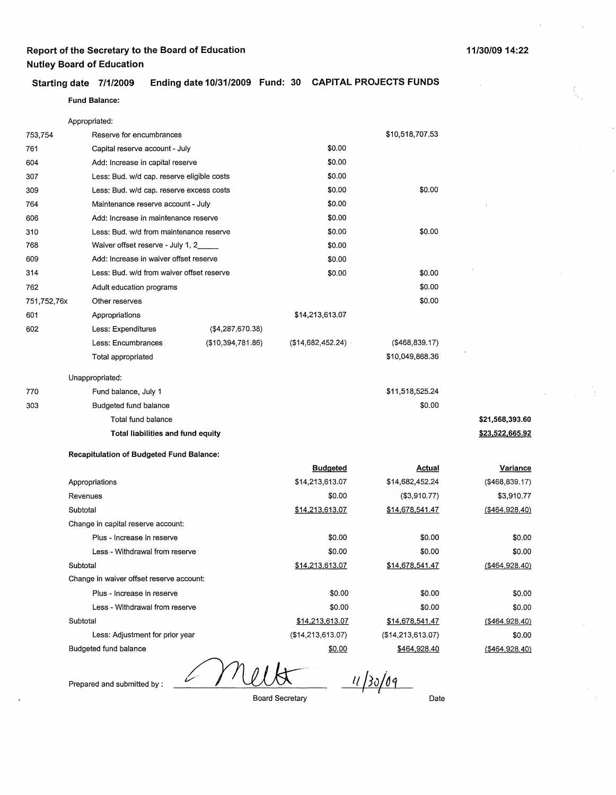### **Starting date 7/1/2009 Ending date 10/31/2009 Fund: 30 CAPITAL PROJECTS FUNDS**

**Fund Balance:** 

| \$10,518,707.53<br>Reserve for encumbrances<br>753,754<br>\$0.00<br>761<br>Capital reserve account - July<br>\$0.00<br>Add: Increase in capital reserve<br>604<br>\$0.00<br>Less: Bud. w/d cap. reserve eligible costs<br>307<br>\$0.00<br>\$0.00<br>Less: Bud. w/d cap. reserve excess costs<br>309<br>\$0.00<br>764<br>Maintenance reserve account - July<br>\$0.00<br>Add: Increase in maintenance reserve<br>606<br>\$0.00<br>\$0.00<br>Less: Bud. w/d from maintenance reserve<br>310<br>Waiver offset reserve - July 1, 2_<br>\$0.00<br>768<br>Add: Increase in waiver offset reserve<br>\$0.00<br>609<br>Less: Bud. w/d from waiver offset reserve<br>\$0.00<br>\$0.00<br>314<br>\$0.00<br>Adult education programs<br>762<br>\$0.00<br>751,752,76x<br>Other reserves<br>\$14,213,613.07<br>601<br>Appropriations<br>602<br>Less: Expenditures<br>(\$4,287,670.38)<br>(\$468,839.17)<br>(\$10,394,781.86)<br>(\$14,682,452.24)<br>Less: Encumbrances<br>\$10,049,868.36<br>Total appropriated<br>Unappropriated:<br>\$11,518,525.24<br>770<br>Fund balance, July 1<br>\$0.00<br>Budgeted fund balance<br>303<br>Total fund balance<br>\$21,568,393.60<br>Total liabilities and fund equity<br>\$23,522,665.92<br><b>Recapitulation of Budgeted Fund Balance:</b><br><b>Budgeted</b><br><b>Actual</b><br><b>Variance</b><br>\$14,213,613.07<br>\$14,682,452.24<br>(\$468,839.17)<br>Appropriations<br>(\$3,910.77)<br>\$3,910.77<br>Revenues<br>\$0.00<br>Subtotal<br>\$14,213,613.07<br>\$14,678,541.47<br>( \$464, 928.40)<br>Change in capital reserve account:<br>\$0.00<br>Plus - Increase in reserve<br>\$0.00<br>\$0.00<br>Less - Withdrawal from reserve<br>\$0.00<br>\$0.00<br>\$0.00<br>\$14,213,613.07<br>\$14,678,541.47<br>( \$464, 928.40)<br>Subtotal<br>Change in waiver offset reserve account:<br>\$0.00<br>Plus - Increase in reserve<br>\$0.00<br>\$0.00<br>Less - Withdrawal from reserve<br>\$0.00<br>\$0.00<br>\$0.00<br>Subtotal<br>\$14,213,613.07<br>\$14,678,541.47<br>( \$464, 928.40)<br>Less: Adjustment for prior year<br>(\$14,213,613.07)<br>(\$14,213,613.07)<br>\$0.00<br>Budgeted fund balance<br>\$464,928.40<br>\$0.00<br>( \$464, 928.40) | Appropriated: |  |  |
|----------------------------------------------------------------------------------------------------------------------------------------------------------------------------------------------------------------------------------------------------------------------------------------------------------------------------------------------------------------------------------------------------------------------------------------------------------------------------------------------------------------------------------------------------------------------------------------------------------------------------------------------------------------------------------------------------------------------------------------------------------------------------------------------------------------------------------------------------------------------------------------------------------------------------------------------------------------------------------------------------------------------------------------------------------------------------------------------------------------------------------------------------------------------------------------------------------------------------------------------------------------------------------------------------------------------------------------------------------------------------------------------------------------------------------------------------------------------------------------------------------------------------------------------------------------------------------------------------------------------------------------------------------------------------------------------------------------------------------------------------------------------------------------------------------------------------------------------------------------------------------------------------------------------------------------------------------------------------------------------------------------------------------------------------------------------------------------------------------------------------------------------------------------------------------------|---------------|--|--|
|                                                                                                                                                                                                                                                                                                                                                                                                                                                                                                                                                                                                                                                                                                                                                                                                                                                                                                                                                                                                                                                                                                                                                                                                                                                                                                                                                                                                                                                                                                                                                                                                                                                                                                                                                                                                                                                                                                                                                                                                                                                                                                                                                                                        |               |  |  |
|                                                                                                                                                                                                                                                                                                                                                                                                                                                                                                                                                                                                                                                                                                                                                                                                                                                                                                                                                                                                                                                                                                                                                                                                                                                                                                                                                                                                                                                                                                                                                                                                                                                                                                                                                                                                                                                                                                                                                                                                                                                                                                                                                                                        |               |  |  |
|                                                                                                                                                                                                                                                                                                                                                                                                                                                                                                                                                                                                                                                                                                                                                                                                                                                                                                                                                                                                                                                                                                                                                                                                                                                                                                                                                                                                                                                                                                                                                                                                                                                                                                                                                                                                                                                                                                                                                                                                                                                                                                                                                                                        |               |  |  |
|                                                                                                                                                                                                                                                                                                                                                                                                                                                                                                                                                                                                                                                                                                                                                                                                                                                                                                                                                                                                                                                                                                                                                                                                                                                                                                                                                                                                                                                                                                                                                                                                                                                                                                                                                                                                                                                                                                                                                                                                                                                                                                                                                                                        |               |  |  |
|                                                                                                                                                                                                                                                                                                                                                                                                                                                                                                                                                                                                                                                                                                                                                                                                                                                                                                                                                                                                                                                                                                                                                                                                                                                                                                                                                                                                                                                                                                                                                                                                                                                                                                                                                                                                                                                                                                                                                                                                                                                                                                                                                                                        |               |  |  |
|                                                                                                                                                                                                                                                                                                                                                                                                                                                                                                                                                                                                                                                                                                                                                                                                                                                                                                                                                                                                                                                                                                                                                                                                                                                                                                                                                                                                                                                                                                                                                                                                                                                                                                                                                                                                                                                                                                                                                                                                                                                                                                                                                                                        |               |  |  |
|                                                                                                                                                                                                                                                                                                                                                                                                                                                                                                                                                                                                                                                                                                                                                                                                                                                                                                                                                                                                                                                                                                                                                                                                                                                                                                                                                                                                                                                                                                                                                                                                                                                                                                                                                                                                                                                                                                                                                                                                                                                                                                                                                                                        |               |  |  |
|                                                                                                                                                                                                                                                                                                                                                                                                                                                                                                                                                                                                                                                                                                                                                                                                                                                                                                                                                                                                                                                                                                                                                                                                                                                                                                                                                                                                                                                                                                                                                                                                                                                                                                                                                                                                                                                                                                                                                                                                                                                                                                                                                                                        |               |  |  |
|                                                                                                                                                                                                                                                                                                                                                                                                                                                                                                                                                                                                                                                                                                                                                                                                                                                                                                                                                                                                                                                                                                                                                                                                                                                                                                                                                                                                                                                                                                                                                                                                                                                                                                                                                                                                                                                                                                                                                                                                                                                                                                                                                                                        |               |  |  |
|                                                                                                                                                                                                                                                                                                                                                                                                                                                                                                                                                                                                                                                                                                                                                                                                                                                                                                                                                                                                                                                                                                                                                                                                                                                                                                                                                                                                                                                                                                                                                                                                                                                                                                                                                                                                                                                                                                                                                                                                                                                                                                                                                                                        |               |  |  |
|                                                                                                                                                                                                                                                                                                                                                                                                                                                                                                                                                                                                                                                                                                                                                                                                                                                                                                                                                                                                                                                                                                                                                                                                                                                                                                                                                                                                                                                                                                                                                                                                                                                                                                                                                                                                                                                                                                                                                                                                                                                                                                                                                                                        |               |  |  |
|                                                                                                                                                                                                                                                                                                                                                                                                                                                                                                                                                                                                                                                                                                                                                                                                                                                                                                                                                                                                                                                                                                                                                                                                                                                                                                                                                                                                                                                                                                                                                                                                                                                                                                                                                                                                                                                                                                                                                                                                                                                                                                                                                                                        |               |  |  |
|                                                                                                                                                                                                                                                                                                                                                                                                                                                                                                                                                                                                                                                                                                                                                                                                                                                                                                                                                                                                                                                                                                                                                                                                                                                                                                                                                                                                                                                                                                                                                                                                                                                                                                                                                                                                                                                                                                                                                                                                                                                                                                                                                                                        |               |  |  |
|                                                                                                                                                                                                                                                                                                                                                                                                                                                                                                                                                                                                                                                                                                                                                                                                                                                                                                                                                                                                                                                                                                                                                                                                                                                                                                                                                                                                                                                                                                                                                                                                                                                                                                                                                                                                                                                                                                                                                                                                                                                                                                                                                                                        |               |  |  |
|                                                                                                                                                                                                                                                                                                                                                                                                                                                                                                                                                                                                                                                                                                                                                                                                                                                                                                                                                                                                                                                                                                                                                                                                                                                                                                                                                                                                                                                                                                                                                                                                                                                                                                                                                                                                                                                                                                                                                                                                                                                                                                                                                                                        |               |  |  |
|                                                                                                                                                                                                                                                                                                                                                                                                                                                                                                                                                                                                                                                                                                                                                                                                                                                                                                                                                                                                                                                                                                                                                                                                                                                                                                                                                                                                                                                                                                                                                                                                                                                                                                                                                                                                                                                                                                                                                                                                                                                                                                                                                                                        |               |  |  |
|                                                                                                                                                                                                                                                                                                                                                                                                                                                                                                                                                                                                                                                                                                                                                                                                                                                                                                                                                                                                                                                                                                                                                                                                                                                                                                                                                                                                                                                                                                                                                                                                                                                                                                                                                                                                                                                                                                                                                                                                                                                                                                                                                                                        |               |  |  |
|                                                                                                                                                                                                                                                                                                                                                                                                                                                                                                                                                                                                                                                                                                                                                                                                                                                                                                                                                                                                                                                                                                                                                                                                                                                                                                                                                                                                                                                                                                                                                                                                                                                                                                                                                                                                                                                                                                                                                                                                                                                                                                                                                                                        |               |  |  |
|                                                                                                                                                                                                                                                                                                                                                                                                                                                                                                                                                                                                                                                                                                                                                                                                                                                                                                                                                                                                                                                                                                                                                                                                                                                                                                                                                                                                                                                                                                                                                                                                                                                                                                                                                                                                                                                                                                                                                                                                                                                                                                                                                                                        |               |  |  |
|                                                                                                                                                                                                                                                                                                                                                                                                                                                                                                                                                                                                                                                                                                                                                                                                                                                                                                                                                                                                                                                                                                                                                                                                                                                                                                                                                                                                                                                                                                                                                                                                                                                                                                                                                                                                                                                                                                                                                                                                                                                                                                                                                                                        |               |  |  |
|                                                                                                                                                                                                                                                                                                                                                                                                                                                                                                                                                                                                                                                                                                                                                                                                                                                                                                                                                                                                                                                                                                                                                                                                                                                                                                                                                                                                                                                                                                                                                                                                                                                                                                                                                                                                                                                                                                                                                                                                                                                                                                                                                                                        |               |  |  |
|                                                                                                                                                                                                                                                                                                                                                                                                                                                                                                                                                                                                                                                                                                                                                                                                                                                                                                                                                                                                                                                                                                                                                                                                                                                                                                                                                                                                                                                                                                                                                                                                                                                                                                                                                                                                                                                                                                                                                                                                                                                                                                                                                                                        |               |  |  |
|                                                                                                                                                                                                                                                                                                                                                                                                                                                                                                                                                                                                                                                                                                                                                                                                                                                                                                                                                                                                                                                                                                                                                                                                                                                                                                                                                                                                                                                                                                                                                                                                                                                                                                                                                                                                                                                                                                                                                                                                                                                                                                                                                                                        |               |  |  |
|                                                                                                                                                                                                                                                                                                                                                                                                                                                                                                                                                                                                                                                                                                                                                                                                                                                                                                                                                                                                                                                                                                                                                                                                                                                                                                                                                                                                                                                                                                                                                                                                                                                                                                                                                                                                                                                                                                                                                                                                                                                                                                                                                                                        |               |  |  |
|                                                                                                                                                                                                                                                                                                                                                                                                                                                                                                                                                                                                                                                                                                                                                                                                                                                                                                                                                                                                                                                                                                                                                                                                                                                                                                                                                                                                                                                                                                                                                                                                                                                                                                                                                                                                                                                                                                                                                                                                                                                                                                                                                                                        |               |  |  |
|                                                                                                                                                                                                                                                                                                                                                                                                                                                                                                                                                                                                                                                                                                                                                                                                                                                                                                                                                                                                                                                                                                                                                                                                                                                                                                                                                                                                                                                                                                                                                                                                                                                                                                                                                                                                                                                                                                                                                                                                                                                                                                                                                                                        |               |  |  |
|                                                                                                                                                                                                                                                                                                                                                                                                                                                                                                                                                                                                                                                                                                                                                                                                                                                                                                                                                                                                                                                                                                                                                                                                                                                                                                                                                                                                                                                                                                                                                                                                                                                                                                                                                                                                                                                                                                                                                                                                                                                                                                                                                                                        |               |  |  |
|                                                                                                                                                                                                                                                                                                                                                                                                                                                                                                                                                                                                                                                                                                                                                                                                                                                                                                                                                                                                                                                                                                                                                                                                                                                                                                                                                                                                                                                                                                                                                                                                                                                                                                                                                                                                                                                                                                                                                                                                                                                                                                                                                                                        |               |  |  |
|                                                                                                                                                                                                                                                                                                                                                                                                                                                                                                                                                                                                                                                                                                                                                                                                                                                                                                                                                                                                                                                                                                                                                                                                                                                                                                                                                                                                                                                                                                                                                                                                                                                                                                                                                                                                                                                                                                                                                                                                                                                                                                                                                                                        |               |  |  |
|                                                                                                                                                                                                                                                                                                                                                                                                                                                                                                                                                                                                                                                                                                                                                                                                                                                                                                                                                                                                                                                                                                                                                                                                                                                                                                                                                                                                                                                                                                                                                                                                                                                                                                                                                                                                                                                                                                                                                                                                                                                                                                                                                                                        |               |  |  |
|                                                                                                                                                                                                                                                                                                                                                                                                                                                                                                                                                                                                                                                                                                                                                                                                                                                                                                                                                                                                                                                                                                                                                                                                                                                                                                                                                                                                                                                                                                                                                                                                                                                                                                                                                                                                                                                                                                                                                                                                                                                                                                                                                                                        |               |  |  |
|                                                                                                                                                                                                                                                                                                                                                                                                                                                                                                                                                                                                                                                                                                                                                                                                                                                                                                                                                                                                                                                                                                                                                                                                                                                                                                                                                                                                                                                                                                                                                                                                                                                                                                                                                                                                                                                                                                                                                                                                                                                                                                                                                                                        |               |  |  |
|                                                                                                                                                                                                                                                                                                                                                                                                                                                                                                                                                                                                                                                                                                                                                                                                                                                                                                                                                                                                                                                                                                                                                                                                                                                                                                                                                                                                                                                                                                                                                                                                                                                                                                                                                                                                                                                                                                                                                                                                                                                                                                                                                                                        |               |  |  |
|                                                                                                                                                                                                                                                                                                                                                                                                                                                                                                                                                                                                                                                                                                                                                                                                                                                                                                                                                                                                                                                                                                                                                                                                                                                                                                                                                                                                                                                                                                                                                                                                                                                                                                                                                                                                                                                                                                                                                                                                                                                                                                                                                                                        |               |  |  |
|                                                                                                                                                                                                                                                                                                                                                                                                                                                                                                                                                                                                                                                                                                                                                                                                                                                                                                                                                                                                                                                                                                                                                                                                                                                                                                                                                                                                                                                                                                                                                                                                                                                                                                                                                                                                                                                                                                                                                                                                                                                                                                                                                                                        |               |  |  |
|                                                                                                                                                                                                                                                                                                                                                                                                                                                                                                                                                                                                                                                                                                                                                                                                                                                                                                                                                                                                                                                                                                                                                                                                                                                                                                                                                                                                                                                                                                                                                                                                                                                                                                                                                                                                                                                                                                                                                                                                                                                                                                                                                                                        |               |  |  |
|                                                                                                                                                                                                                                                                                                                                                                                                                                                                                                                                                                                                                                                                                                                                                                                                                                                                                                                                                                                                                                                                                                                                                                                                                                                                                                                                                                                                                                                                                                                                                                                                                                                                                                                                                                                                                                                                                                                                                                                                                                                                                                                                                                                        |               |  |  |

Prepared and submitted by :

 $\mathbb{Z}$   $m$  $\underbrace{U\cancel{K}}_{\text{Board Secretary}}$   $\underbrace{I\cancel{I}\}30\cancel{09}$ 

Date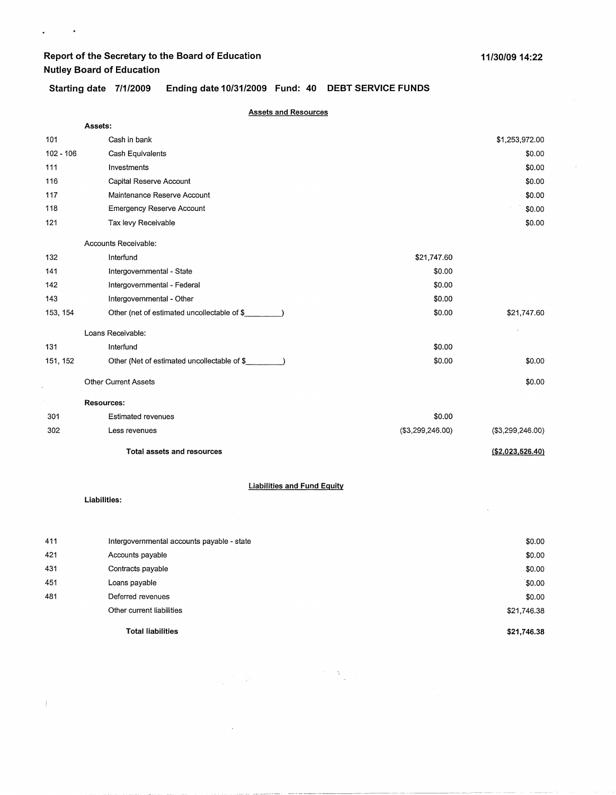$\mathbf{q}^{\left(1\right)}$ 

 $\sim$   $\sim$ 

### **Starting date 7/1/2009 Ending date 10/31/2009 Fund: 40 DEBT SERVICE FUNDS**

|             | <b>Assets and Resources</b>                 |                  |                   |
|-------------|---------------------------------------------|------------------|-------------------|
|             | Assets:                                     |                  |                   |
| 101         | Cash in bank                                |                  | \$1,253,972.00    |
| $102 - 106$ | Cash Equivalents                            |                  | \$0.00            |
| 111         | Investments                                 |                  | \$0.00            |
| 116         | Capital Reserve Account                     |                  | \$0.00            |
| 117         | Maintenance Reserve Account                 |                  | \$0.00            |
| 118         | <b>Emergency Reserve Account</b>            |                  | \$0.00            |
| 121         | Tax levy Receivable                         |                  | \$0.00            |
|             | Accounts Receivable:                        |                  |                   |
| 132         | Interfund                                   | \$21,747.60      |                   |
| 141         | Intergovernmental - State                   | \$0.00           |                   |
| 142         | Intergovernmental - Federal                 | \$0.00           |                   |
| 143         | Intergovernmental - Other                   | \$0.00           |                   |
| 153, 154    | Other (net of estimated uncollectable of \$ | \$0.00           | \$21,747.60       |
|             | Loans Receivable:                           |                  |                   |
| 131         | Interfund                                   | \$0.00           |                   |
| 151, 152    | Other (Net of estimated uncollectable of \$ | \$0.00           | \$0.00            |
|             | <b>Other Current Assets</b>                 |                  | \$0.00            |
|             | <b>Resources:</b>                           |                  |                   |
| 301         | <b>Estimated revenues</b>                   | \$0.00           |                   |
| 302         | Less revenues                               | (\$3,299,246.00) | (\$3,299,246.00)  |
|             | <b>Total assets and resources</b>           |                  | ( \$2,023,526.40) |
|             | <b>Liabilities and Fund Equity</b>          |                  |                   |
|             | Liabilities:                                |                  |                   |
|             |                                             |                  |                   |
| 411         | Intergovernmental accounts payable - state  |                  | \$0.00            |
| 421         | Accounts payable                            |                  | \$0.00            |
| 431         | Contracts payable                           |                  | \$0.00            |
| 451         | Loans payable                               |                  | \$0.00            |

 $\label{eq:2} \begin{split} \frac{\partial \mathbf{v}}{\partial t} &= \sum_{i=1}^n \frac{1}{\mathbf{v}_i^2} \mathbf{v}_i^2 \mathbf{v}_i^2, \end{split}$ 

 $\frac{1}{\sqrt{2}}\left(\frac{1}{2}\right)^{2} \frac{1}{2} \left(\frac{1}{2}\right)^{2}$ 

 $\ddot{\phantom{a}}$ 

**Total liabilities** 

Deferred revenues Other current liabilities

481

 $\hspace{0.1mm}\big)$ 

**\$21,746.38** 

\$0.00 \$21,746.38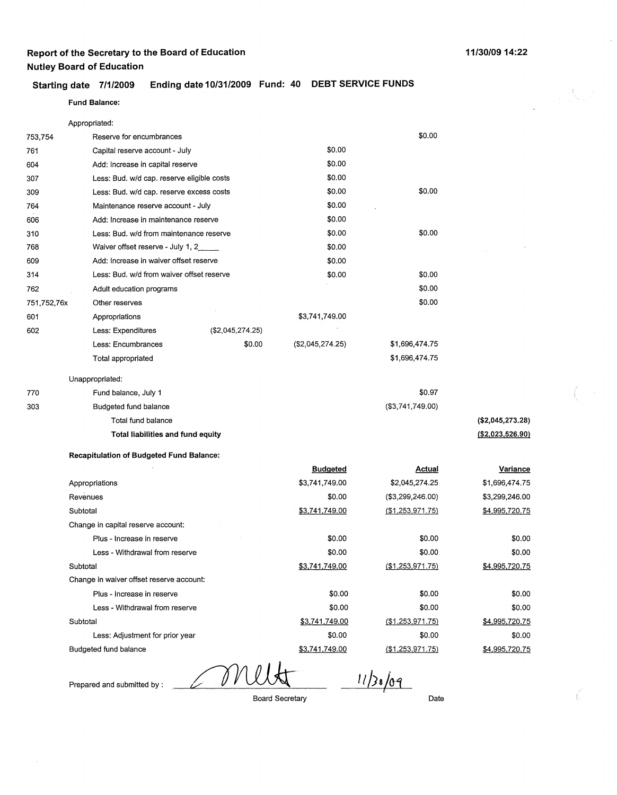### **Starting date 7/1/2009 Ending date 10/31/2009 Fund: 40 DEBT SERVICE FUNDS**

#### **Fund Balance:**

|             | Appropriated:                                   |                  |                  |                      |                   |
|-------------|-------------------------------------------------|------------------|------------------|----------------------|-------------------|
| 753,754     | Reserve for encumbrances                        |                  |                  | \$0.00               |                   |
| 761         | Capital reserve account - July                  |                  | \$0.00           |                      |                   |
| 604         | Add: Increase in capital reserve                |                  | \$0.00           |                      |                   |
| 307         | Less: Bud. w/d cap. reserve eligible costs      |                  | \$0.00           |                      |                   |
| 309         | Less: Bud. w/d cap. reserve excess costs        |                  | \$0.00           | \$0.00               |                   |
| 764         | Maintenance reserve account - July              |                  | \$0.00           |                      |                   |
| 606         | Add: Increase in maintenance reserve            |                  | \$0.00           |                      |                   |
| 310         | Less: Bud. w/d from maintenance reserve         |                  | \$0.00           | \$0.00               |                   |
| 768         | Waiver offset reserve - July 1, 2               |                  | \$0.00           |                      |                   |
| 609         | Add: Increase in waiver offset reserve          |                  | \$0.00           |                      |                   |
| 314         | Less: Bud. w/d from waiver offset reserve       |                  | \$0.00           | \$0.00               |                   |
| 762         | Adult education programs                        |                  |                  | \$0.00               |                   |
| 751,752,76x | Other reserves                                  |                  |                  | \$0.00               |                   |
| 601         | Appropriations                                  |                  | \$3,741,749.00   |                      |                   |
| 602         | Less: Expenditures                              | (\$2,045,274.25) |                  |                      |                   |
|             | Less: Encumbrances                              | \$0.00           | (\$2,045,274.25) | \$1,696,474.75       |                   |
|             | Total appropriated                              |                  |                  | \$1,696,474.75       |                   |
|             | Unappropriated:                                 |                  |                  |                      |                   |
| 770         | Fund balance, July 1                            |                  |                  | \$0.97               |                   |
| 303         | Budgeted fund balance                           |                  |                  | (\$3,741,749.00)     |                   |
|             | Total fund balance                              |                  |                  |                      | (\$2,045,273.28)  |
|             | Total liabilities and fund equity               |                  |                  |                      | ( \$2,023,526.90) |
|             | <b>Recapitulation of Budgeted Fund Balance:</b> |                  |                  |                      |                   |
|             |                                                 |                  | <b>Budgeted</b>  | <u>Actual</u>        | <u>Variance</u>   |
|             | Appropriations                                  |                  | \$3,741,749.00   | \$2,045,274.25       | \$1,696,474.75    |
|             | Revenues                                        |                  | \$0.00           | (\$3,299,246.00)     | \$3,299,246.00    |
|             | Subtotal                                        |                  | \$3,741,749.00   | ( \$1,253,971.75)    | \$4,995,720.75    |
|             | Change in capital reserve account:              |                  |                  |                      |                   |
|             | Plus - Increase in reserve                      |                  | \$0.00           | \$0.00               | \$0.00            |
|             | Less - Withdrawal from reserve                  |                  | \$0.00           | \$0.00               | \$0.00            |
|             | Subtotal                                        |                  | \$3,741,749.00   | ( \$1, 253, 971, 75) | \$4,995,720.75    |
|             | Change in waiver offset reserve account:        |                  |                  |                      |                   |
|             | Plus - Increase in reserve                      |                  | \$0.00           | \$0.00               | \$0.00            |
|             | Less - Withdrawal from reserve                  |                  | \$0.00           | \$0.00               | \$0.00            |

Budgeted fund balance

Subtotal

0 V

Prepared and submitted by :

Less: Adjustment for prior year

Board Secretary

\$3,741,749.00 \$0.00

\$3,741,749.00

 $11/38/09$ 

(\$1,253,971.75)

(\$1.253,971.75)

Date

\$0.00

 $\Big(\Big|_{\infty}$ 

**(\$2,023,526.90)** 

\$0.00 \$0.00 \$4,995,720.75 \$0.00

\$4,995,720.75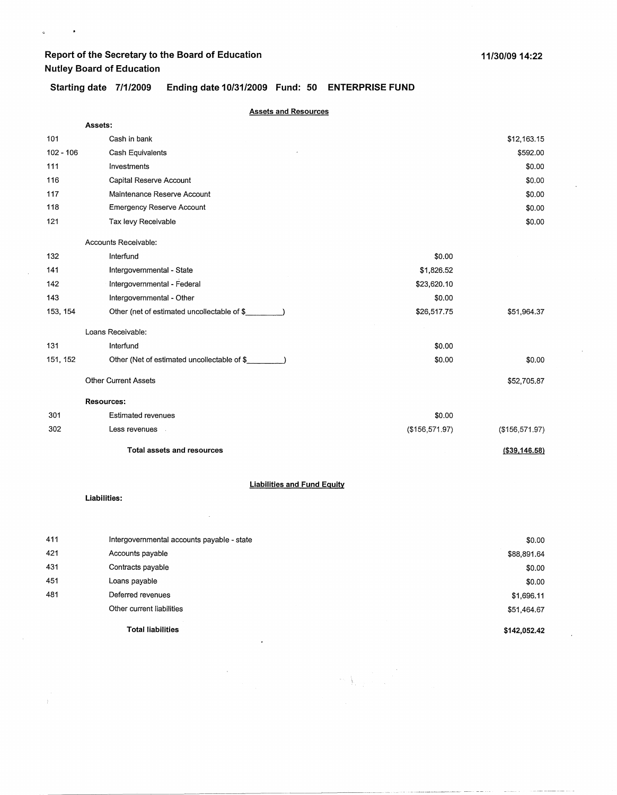$\ddot{\textbf{v}}$ 

 $\bar{\mathbf{z}}$ 

### **Starting date 7/1/2009 Ending date 10/31/2009 Fund: 50 ENTERPRISE FUND**

|             | <b>Assets and Resources</b>                        |                |                |  |
|-------------|----------------------------------------------------|----------------|----------------|--|
|             | Assets:                                            |                |                |  |
| 101         | Cash in bank                                       |                | \$12,163.15    |  |
| $102 - 106$ | Cash Equivalents                                   |                | \$592.00       |  |
| 111         | Investments                                        |                | \$0.00         |  |
| 116         | Capital Reserve Account                            |                | \$0.00         |  |
| 117         | Maintenance Reserve Account                        |                | \$0.00         |  |
| 118         | <b>Emergency Reserve Account</b>                   |                | \$0.00         |  |
| 121         | Tax levy Receivable                                |                | \$0.00         |  |
|             | Accounts Receivable:                               |                |                |  |
| 132         | Interfund                                          | \$0.00         |                |  |
| 141         | Intergovernmental - State                          | \$1,826.52     |                |  |
| 142         | Intergovernmental - Federal                        | \$23,620.10    |                |  |
| 143         | Intergovernmental - Other                          | \$0.00         |                |  |
| 153, 154    | Other (net of estimated uncollectable of \$        | \$26,517.75    | \$51,964.37    |  |
|             | Loans Receivable:                                  |                |                |  |
| 131         | Interfund                                          | \$0.00         |                |  |
| 151, 152    | Other (Net of estimated uncollectable of \$        | \$0.00         | \$0.00         |  |
|             | <b>Other Current Assets</b>                        |                | \$52,705.87    |  |
|             | <b>Resources:</b>                                  |                |                |  |
| 301         | <b>Estimated revenues</b>                          | \$0.00         |                |  |
| 302         | Less revenues                                      | (\$156,571.97) | (\$156,571.97) |  |
|             | <b>Total assets and resources</b>                  |                | (\$39,146.58)  |  |
|             | <b>Liabilities and Fund Equity</b><br>Liabilities: |                |                |  |
|             |                                                    |                |                |  |

| 411 | Intergovernmental accounts payable - state | \$0.00       |
|-----|--------------------------------------------|--------------|
| 421 | Accounts payable                           | \$88,891.64  |
| 431 | Contracts payable                          | \$0.00       |
| 451 | Loans payable                              | \$0.00       |
| 481 | Deferred revenues                          | \$1,696.11   |
|     | Other current liabilities                  | \$51,464.67  |
|     | <b>Total liabilities</b>                   | \$142,052.42 |

 $\label{eq:1} \mathcal{L}=\frac{1}{2}\sum_{i=1}^{N} \frac{1}{\left(1-\frac{1}{2}\right)^{2}}\left(\frac{1}{\sqrt{2}}\right)^{2}$ 

 $\hat{\boldsymbol{z}}$ 

 $\hat{\mathcal{A}}$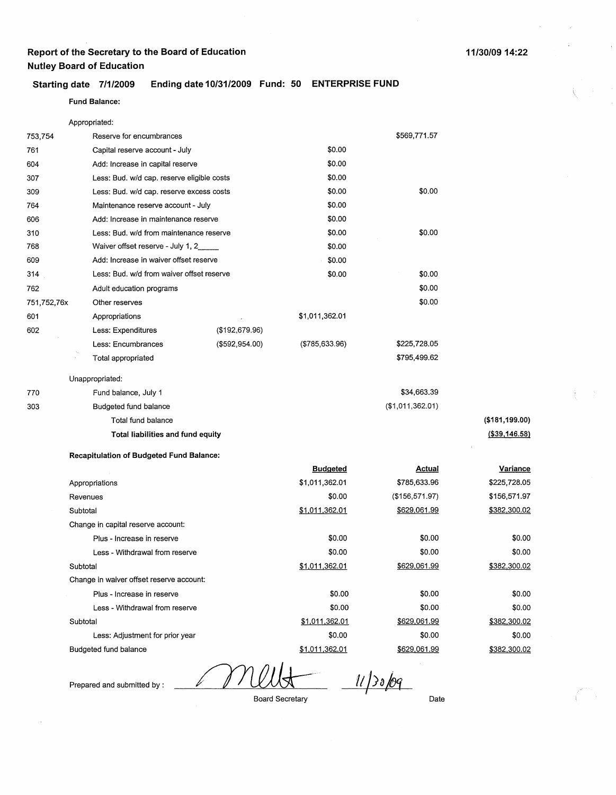### **Starting date 7/1/2009 Ending date 10/31/2009 Fund: 50 ENTERPRISE FUND**

### **Fund Balance:**

Appropriated:

| 753,754     | Reserve for encumbrances                        |                |                 | \$569,771.57     |                |
|-------------|-------------------------------------------------|----------------|-----------------|------------------|----------------|
| 761         | Capital reserve account - July                  |                | \$0.00          |                  |                |
| 604         | Add: Increase in capital reserve                |                | \$0.00          |                  |                |
| 307         | Less: Bud. w/d cap. reserve eligible costs      |                | \$0.00          |                  |                |
| 309         | Less: Bud. w/d cap. reserve excess costs        |                | \$0.00          | \$0.00           |                |
| 764         | Maintenance reserve account - July              |                | \$0.00          |                  |                |
| 606         | Add: Increase in maintenance reserve            |                | \$0.00          |                  |                |
| 310         | Less: Bud. w/d from maintenance reserve         |                | \$0.00          | \$0.00           |                |
| 768         | Waiver offset reserve - July 1, 2               |                | \$0.00          |                  |                |
| 609         | Add: Increase in waiver offset reserve          |                | \$0.00          |                  |                |
| 314         | Less: Bud. w/d from waiver offset reserve       |                | \$0.00          | \$0.00           |                |
| 762         | Adult education programs                        |                |                 | \$0.00           |                |
| 751,752,76x | Other reserves                                  |                |                 | \$0.00           |                |
| 601         | Appropriations                                  |                | \$1,011,362.01  |                  |                |
| 602         | Less: Expenditures                              | (\$192,679.96) |                 |                  |                |
|             | Less: Encumbrances                              | (\$592,954.00) | (\$785,633.96)  | \$225,728.05     |                |
|             | Total appropriated                              |                |                 | \$795,499.62     |                |
|             | Unappropriated:                                 |                |                 |                  |                |
| 770         | Fund balance, July 1                            |                |                 | \$34,663.39      |                |
| 303         | Budgeted fund balance                           |                |                 | (\$1,011,362.01) |                |
|             | Total fund balance                              |                |                 |                  | (\$181,199.00) |
|             | Total liabilities and fund equity               |                |                 |                  | (\$39,146.58)  |
|             | <b>Recapitulation of Budgeted Fund Balance:</b> |                |                 |                  |                |
|             |                                                 |                | <b>Budgeted</b> | <b>Actual</b>    | Variance       |
|             | Appropriations                                  |                | \$1,011,362.01  | \$785,633.96     | \$225,728.05   |
|             | Revenues                                        |                | \$0.00          | (\$156,571.97)   | \$156,571.97   |
|             | Subtotal                                        |                | \$1,011,362.01  | \$629,061.99     | \$382,300.02   |

Change in capital reserve account: Plus - Increase in reserve Less - Withdrawal from reserve Subtotal Change in waiver offset reserve account: Plus - Increase in reserve Less - Withdrawal from reserve Subtotal Less: Adjustment for prior year Budgeted fund balance \$0.00 \$0.00 \$1,011.362.01 \$0.00 \$0.00 \$1.011.362.01 \$0.00 \$1,011.362.01 \$0.00 \$0.00 \$629.061.99 \$0.00 \$0.00 \$629,061.99 \$0.00 \$629,061.99 82,300.02 \$0.00 \$0.00 \$382,300.02 \$0.00 \$0.00 \$382,300.02 \$0.00 \$382.300.02

 $11/30/09$ 

Prepared and submitted by :

Board Secretary

Date

**(\$181.199.00) (\$39,146.58)**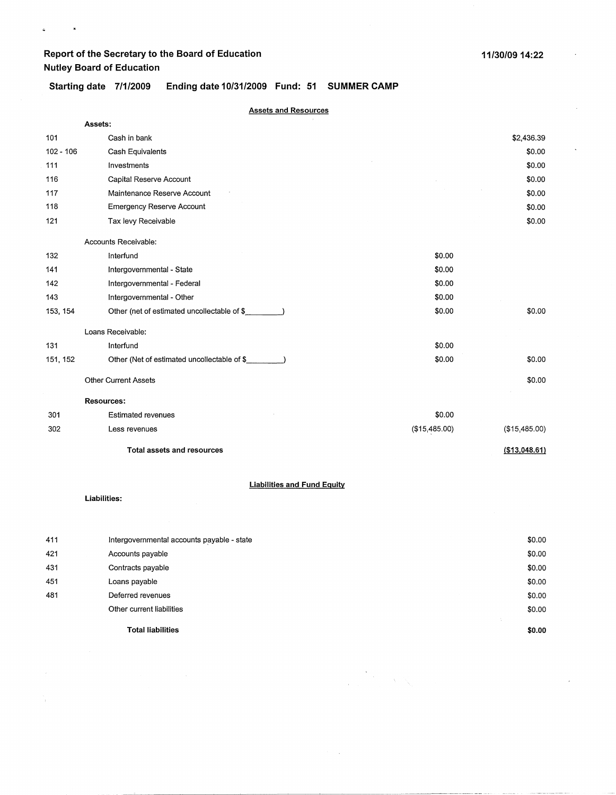$\bar{\mathbf{z}}$ 

 $\mathbf{c}^{\pm}$ 

### **Starting date 7/1/2009 Ending date 10/31/2009 Fund: 51 SUMMER CAMP**

| <b>Assets and Resources</b> |                                              |               |                |
|-----------------------------|----------------------------------------------|---------------|----------------|
| Assets:                     |                                              |               |                |
| 101                         | Cash in bank                                 |               | \$2,436.39     |
| $102 - 106$                 | Cash Equivalents                             |               | \$0.00         |
| 111                         | Investments                                  |               | \$0.00         |
| 116                         | Capital Reserve Account                      |               | \$0.00         |
| 117                         | Maintenance Reserve Account                  |               | \$0.00         |
| 118                         | Emergency Reserve Account                    |               | \$0.00         |
| 121                         | Tax levy Receivable                          |               | \$0.00         |
|                             | Accounts Receivable:                         |               |                |
| 132                         | Interfund                                    | \$0.00        |                |
| 141                         | Intergovernmental - State                    | \$0.00        |                |
| 142                         | Intergovernmental - Federal                  | \$0.00        |                |
| 143                         | Intergovernmental - Other                    | \$0.00        |                |
| 153, 154                    | Other (net of estimated uncollectable of \$  | \$0.00        | \$0.00         |
|                             | Loans Receivable:                            |               |                |
| 131                         | Interfund                                    | \$0.00        |                |
| 151, 152                    | Other (Net of estimated uncollectable of \$_ | \$0.00        | \$0.00         |
|                             | <b>Other Current Assets</b>                  |               | \$0.00         |
|                             | <b>Resources:</b>                            |               |                |
| 301                         | <b>Estimated revenues</b>                    | \$0.00        |                |
| 302                         | Less revenues                                | (\$15,485.00) | (\$15,485.00)  |
|                             | <b>Total assets and resources</b>            |               | ( \$13,048.61) |

#### **Liabilities and Fund Equity**

**Liabilities:** 

N.

| 411 | Intergovernmental accounts payable - state | \$0.00 |
|-----|--------------------------------------------|--------|
| 421 | Accounts payable                           | \$0.00 |
| 431 | Contracts payable                          | \$0.00 |
| 451 | Loans payable                              | \$0.00 |
| 481 | Deferred revenues                          | \$0.00 |
|     | Other current liabilities                  | \$0.00 |
|     |                                            | ÷      |
|     | Total liabilities                          | \$0.00 |

 $\label{eq:2.1} \sum_{\mathbf{y} \in \mathcal{Y}} \sum_{\mathbf{y} \in \mathcal{Y}} \mathbf{y} \mathbf{y} \mathbf{y} \mathbf{y}$ 

 $\sim 10^{-1}$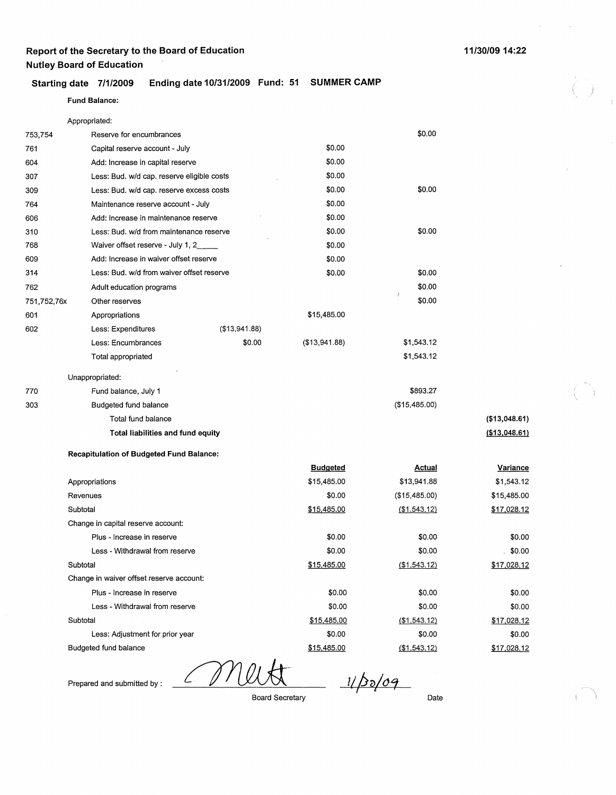#### **Starting date 7/1/2009 Ending date 10/31/2009 Fund: 51 SUMMER CAMP**

#### Fund **Balance:**

| Appropriated:                      |                                                 |                                            |                    |               |  |
|------------------------------------|-------------------------------------------------|--------------------------------------------|--------------------|---------------|--|
| 753,754                            | Reserve for encumbrances                        |                                            |                    | \$0.00        |  |
| 761                                | Capital reserve account - July                  |                                            |                    |               |  |
| 604                                |                                                 | Add: Increase in capital reserve           |                    |               |  |
| 307                                |                                                 | Less: Bud. w/d cap. reserve eligible costs |                    |               |  |
| 309                                | Less: Bud. w/d cap. reserve excess costs        |                                            | \$0.00             | \$0.00        |  |
| 764                                | Maintenance reserve account - July              |                                            | \$0.00             |               |  |
| 606                                | Add: Increase in maintenance reserve            |                                            | \$0.00             |               |  |
| 310                                | Less: Bud. w/d from maintenance reserve         |                                            | \$0.00             | \$0.00        |  |
| 768                                |                                                 | Waiver offset reserve - July 1, 2          |                    |               |  |
| 609                                |                                                 | Add: Increase in waiver offset reserve     |                    |               |  |
| 314                                | Less: Bud. w/d from waiver offset reserve       |                                            | \$0.00             | \$0.00        |  |
| 762                                | Adult education programs                        |                                            |                    | \$0.00        |  |
| 751,752,76x                        | Other reserves                                  |                                            |                    | \$0.00        |  |
| 601                                | Appropriations                                  |                                            | \$15,485.00        |               |  |
| 602                                | Less: Expenditures                              | ( \$13, 941.88)                            |                    |               |  |
|                                    | Less: Encumbrances                              | \$0.00                                     | (\$13,941.88)      | \$1,543.12    |  |
|                                    | Total appropriated                              |                                            |                    | \$1,543.12    |  |
|                                    | Unappropriated:                                 |                                            |                    |               |  |
| 770                                | Fund balance, July 1                            |                                            |                    | \$893.27      |  |
| 303                                | Budgeted fund balance                           |                                            |                    | (\$15,485.00) |  |
|                                    | Total fund balance                              |                                            |                    |               |  |
|                                    | Total liabilities and fund equity               |                                            |                    |               |  |
|                                    | <b>Recapitulation of Budgeted Fund Balance:</b> |                                            |                    |               |  |
|                                    |                                                 |                                            | <b>Budgeted</b>    | <b>Actual</b> |  |
|                                    | Appropriations                                  |                                            | \$15,485.00        | \$13,941.88   |  |
|                                    | Revenues                                        |                                            | \$0.00             | (\$15,485.00) |  |
| Subtotal                           |                                                 | \$15,485.00                                | ( \$1, 543.12)     |               |  |
| Change in capital reserve account: |                                                 |                                            |                    |               |  |
|                                    | Plus - Increase in reserve                      |                                            | \$0.00             | \$0.00        |  |
|                                    | Less - Withdrawal from reserve                  |                                            | \$0.00             | \$0.00        |  |
|                                    | Subtotal                                        |                                            | <u>\$15,485.00</u> | (\$1,543.12)  |  |
|                                    | Change in waiver offset reserve account:        |                                            |                    |               |  |
|                                    | Plus - Increase in reserve                      |                                            | \$0.00             | \$0.00        |  |
|                                    | Less - Withdrawal from reserve                  |                                            | \$0.00             | \$0.00        |  |
|                                    | Subtotal                                        |                                            | \$15,485.00        | ( \$1,543.12) |  |
|                                    | Less: Adjustment for prior year                 |                                            | \$0.00             | \$0.00        |  |

Budgeted fund balance

 $\mathcal{L}$ 

*1/po/<Ji* 

)

**(\$13,048.61) (\$13,048.61** l

> **Variance**  \$1,543.12 \$15,485.00 \$17,028.12

> \$0.00  $. $0.00$ \$17,028.12

\$0.00 \$0.00 \$17,028.12 \$0.00 \$17,028.12

Prepared and submitted by :

Board Secretary

\$15.485.00

Date

(\$1,543.12)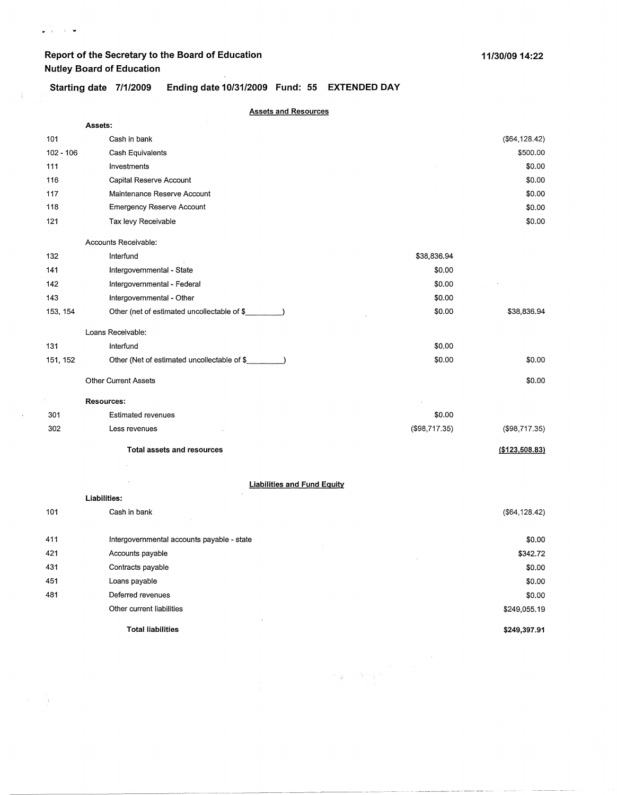$\begin{array}{ccc} \bullet & \circ & \circ & \bullet \end{array}$ 

- i

 $\ddot{\phantom{a}}$ 

### **Starting date 7/1/2009 Ending date 10/31/2009 Fund: 55 EXTENDED DAY**

| <b>Assets and Resources</b> |                                             |               |                 |  |
|-----------------------------|---------------------------------------------|---------------|-----------------|--|
|                             | Assets:                                     |               |                 |  |
| 101                         | Cash in bank                                |               | ( \$64, 128.42) |  |
| $102 - 106$                 | Cash Equivalents                            |               | \$500.00        |  |
| 111                         | Investments                                 |               | \$0.00          |  |
| 116                         | Capital Reserve Account                     |               | \$0.00          |  |
| 117                         | Maintenance Reserve Account                 |               | \$0.00          |  |
| 118                         | <b>Emergency Reserve Account</b>            |               | \$0.00          |  |
| 121                         | Tax levy Receivable                         |               | \$0.00          |  |
|                             | Accounts Receivable:                        |               |                 |  |
| 132                         | Interfund                                   | \$38,836.94   |                 |  |
| 141                         | Intergovernmental - State                   | \$0.00        |                 |  |
| 142                         | Intergovernmental - Federal                 | \$0.00        |                 |  |
| 143                         | Intergovernmental - Other                   | \$0.00        |                 |  |
| 153, 154                    | Other (net of estimated uncollectable of \$ | \$0.00        | \$38,836.94     |  |
|                             | Loans Receivable:                           |               |                 |  |
| 131                         | Interfund                                   | \$0.00        |                 |  |
| 151, 152                    | Other (Net of estimated uncollectable of \$ | \$0.00        | \$0.00          |  |
|                             | <b>Other Current Assets</b>                 |               | \$0.00          |  |
|                             | <b>Resources:</b>                           |               |                 |  |
| 301                         | <b>Estimated revenues</b>                   | \$0.00        |                 |  |
| 302                         | Less revenues                               | (\$98,717.35) | (\$98,717.35)   |  |
|                             | <b>Total assets and resources</b>           |               | (\$123,508.83)  |  |
|                             | <b>Liabilities and Fund Equity</b>          |               |                 |  |
|                             | Liabilities:                                |               |                 |  |
| 101                         | Cash in bank                                |               | (\$64,128.42)   |  |
| 411                         | Intergovernmental accounts payable - state  |               | \$0.00          |  |
| 421                         | Accounts payable                            |               | \$342.72        |  |
| 431                         | Contracts payable                           |               | \$0.00          |  |
| 451                         | Loans payable                               |               | \$0.00          |  |

**Total liabilities** 

Deferred revenues Other current liabilities

481

 $\mathcal{A}=\mathcal{A}$  .

计算 人名索尔

 $\sim 10^7$ 

**\$249,397.91** 

\$0.00 \$249,055.19